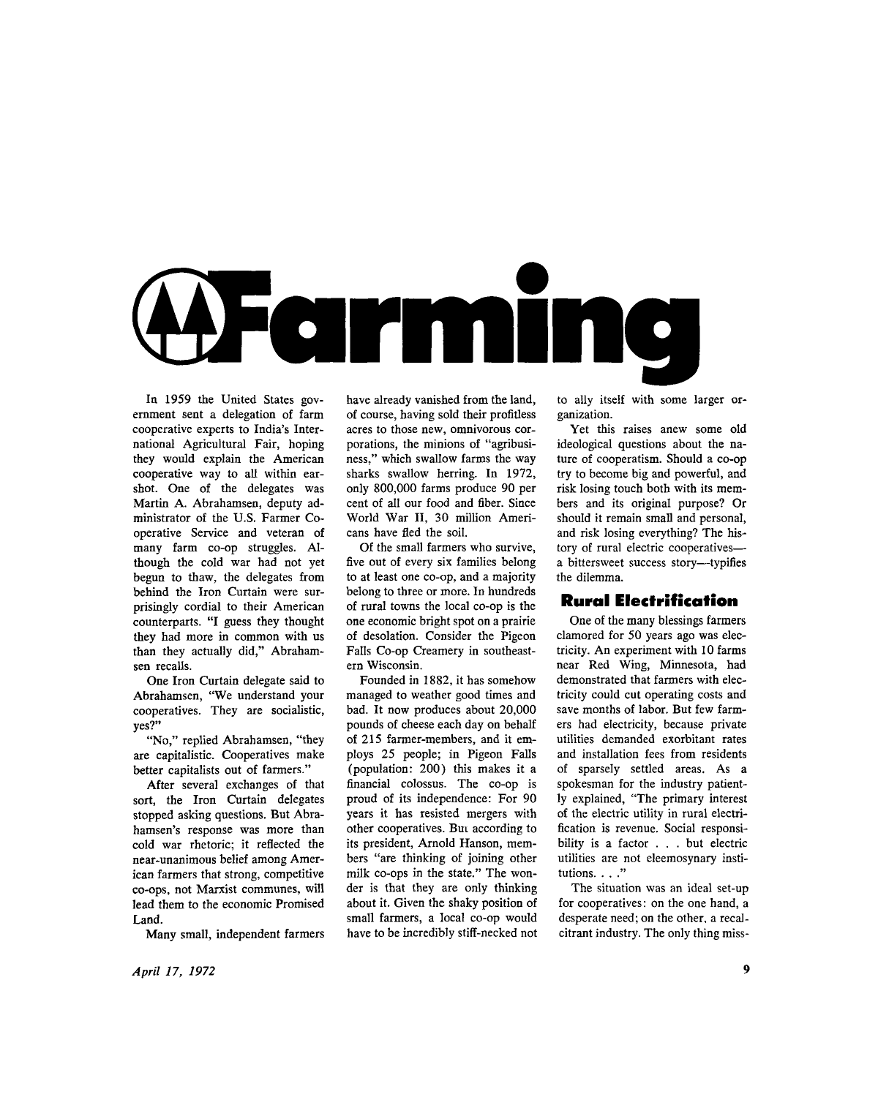

In 1959 the United States government sent a delegation of farm cooperative experts to India's International Agricultural Fair, hoping they would explain the American cooperative way to all within earshot. One of the delegates was Martin A. Abrahamsen, deputy administrator of the U.S. Farmer Cooperative Service and veteran of many farm co-op struggles. Al though the cold war had not yet begun to thaw, the delegates from behind the Iron Curtain were surprisingly cordial to their American counterparts. "I guess they thought they had more in common with us than they actually did," Abrahamsen recalls.

One Iron Curtain delegate said to Abrahamsen, "We understand your cooperatives. They are socialistic, yes?"

"No," replied Abrahamsen, "they are capitalistic. Cooperatives make better capitalists out of farmers."

After several exchanges of that sort, the Iron Curtain delegates stopped asking questions. But Abrahamsen's response was more than cold war rhetoric; it reflected the near-unanimous belief among American farmers that strong, competitive co-ops, not Marxist communes, will lead them to the economic Promised Land.

Many small, independent farmers

have already vanished from the land, of course, having sold their profitless acres to those new, omnivorous corporations, the minions of "agribusiness," which swallow farms the way sharks swallow herring. In 1972, only 800,000 farms produce 90 per cent of all our food and fiber. Since World War II, 30 million Americans have fled the soil.

Of the small farmers who survive, five out of every six families belong to at least one co-op, and a majority belong to three or more. In hundreds of rural towns the local co-op is the one economic bright spot on a prairie of desolation. Consider the Pigeon Falls Co-op Creamery in southeastern Wisconsin.

Founded in 1882, it has somehow managed to weather good times and bad. It now produces about 20,000 pounds of cheese each day on behalf of 215 farmer-members, and it employs 25 people; in Pigeon Falls (population: 200) this makes it a financial colossus. The co-op is proud of its independence: For 90 years it has resisted mergers with other cooperatives. But according to its president, Arnold Hanson, members "are thinking of joining other milk co-ops in the state." The wonder is that they are only thinking about it. Given the shaky position of small farmers, a local co-op would have to be incredibly stiff-necked not to ally itself with some larger organization.

Yet this raises anew some old ideological questions about the nature of cooperatism. Should a co-op try to become big and powerful, and risk losing touch both with its members and its original purpose? Or should it remain small and personal, and risk losing everything? The history of rural electric cooperatives a bittersweet success story—typifies the dilemma.

## Rural Electrification

One of the many blessings farmers clamored for 50 years ago was electricity. An experiment with 10 farms near Red Wing, Minnesota, had demonstrated that farmers with electricity could cut operating costs and save months of labor. But few farmers had electricity, because private utilities demanded exorbitant rates and installation fees from residents of sparsely settled areas. As a spokesman for the industry patiently explained, "The primary interest of the electric utility in rural electrification is revenue. Social responsibility is a factor . . . but electric utilities are not eleemosynary institutions. . . ."

The situation was an ideal set-up for cooperatives: on the one hand, a desperate need; on the other, a recalcitrant industry. The only thing miss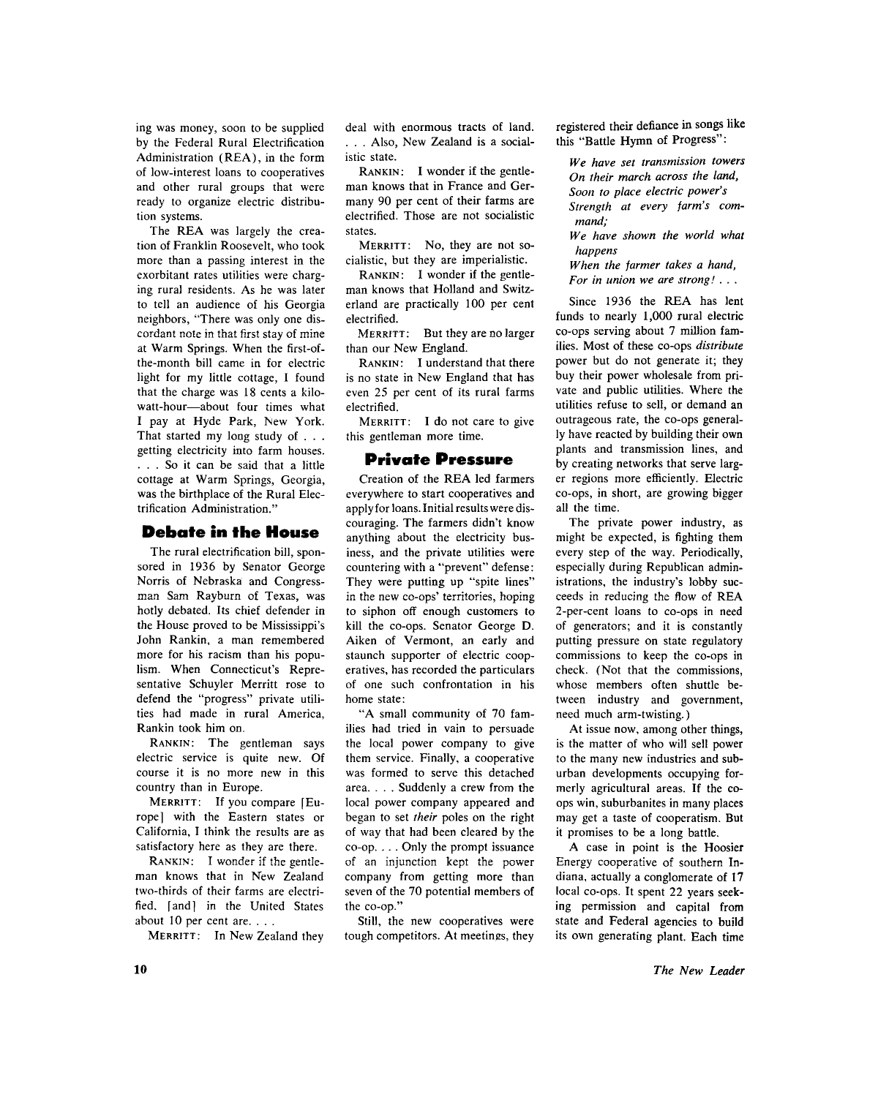ing was money, soon to be supplied by the Federal Rural Electrification Administration (REA) , in the form of low-interest loans to cooperatives and other rural groups that were ready to organize electric distribution systems.

The REA was largely the creation of Franklin Roosevelt, who took more than a passing interest in the exorbitant rates utilities were charging rural residents. As he was later to tell an audience of his Georgia neighbors, "There was only one discordant note in that first stay of mine at Warm Springs. When the first-ofthe-month bill came in for electric light for my little cottage, I found that the charge was 18 cents a kilowatt-hour—about four times what I pay at Hyde Park, New York. That started my long study of  $\ldots$ getting electricity into farm houses. . . . So it can be said that a little cottage at Warm Springs, Georgia, was the birthplace of the Rural Electrification Administration."

#### Debate in the House

The rural electrification bill, sponsored in 1936 by Senator George Norris of Nebraska and Congressman Sam Rayburn of Texas, was hotly debated. Its chief defender in the House proved to be Mississippi's John Rankin, a man remembered more for his racism than his populism. When Connecticut's Representative Schuyler Merritt rose to defend the "progress" private utilities had made in rural America, Rankin took him on.

RANKIN: The gentleman says electric service is quite new. Of course it is no more new in this country than in Europe.

MERRITT: If you compare [Europe] with the Eastern states or California, I think the results are as satisfactory here as they are there.

RANKIN: I wonder if the gentleman knows that in New Zealand two-thirds of their farms are electrified, [and] in the United States about 10 per cent are. . . .

MERRITT: In New Zealand they

deal with enormous tracts of land. . . . Also, New Zealand is a socialistic state.

RANKIN: I wonder if the gentleman knows that in France and Germany 90 per cent of their farms are electrified. Those are not socialistic states.

MERRITT: No, they are not socialistic, but they are imperialistic.

RANKIN: I wonder if the gentleman knows that Holland and Switzerland are practically 100 per cent electrified.

MERRITT: But they are no larger than our New England.

RANKIN: I understand that there is no state in New England that has even 25 per cent of its rural farms electrified.

MERRITT: I do not care to give this gentleman more time.

#### **Private Pressure**

Creation of the REA led farmers everywhere to start cooperatives and apply for loans. Initial results were discouraging. The farmers didn't know anything about the electricity business, and the private utilities were countering with a "prevent" defense: They were putting up "spite lines" in the new co-ops' territories, hoping to siphon off enough customers to kill the co-ops. Senator George D. Aiken of Vermont, an early and staunch supporter of electric cooperatives, has recorded the particulars of one such confrontation in his home state:

"A small community of 70 families had tried in vain to persuade the local power company to give them service. Finally, a cooperative was formed to serve this detached area. . . . Suddenly a crew from the local power company appeared and began to set *their* poles on the right of way that had been cleared by the co-op. . . . Only the prompt issuance of an injunction kept the power company from getting more than seven of the 70 potential members of the co-op."

Still, the new cooperatives were tough competitors. At meetings, they

registered their defiance in songs like this "Battle Hymn of Progress":

*We have set transmission towers On their march across the land, Soon to place electric power's Strength at every farm's command;* 

*We have shown the world what happens* 

*When the farmer takes a hand, For in union we are strong! . . .* 

Since 1936 the REA has lent funds to nearly 1,000 rural electric co-ops serving about 7 million families. Most of these co-ops *distribute*  power but do not generate it; they buy their power wholesale from private and public utilities. Where the utilities refuse to sell, or demand an outrageous rate, the co-ops generally have reacted by building their own plants and transmission lines, and by creating networks that serve larger regions more efficiently. Electric co-ops, in short, are growing bigger all the time.

The private power industry, as might be expected, is fighting them every step of the way. Periodically, especially during Republican administrations, the industry's lobby succeeds in reducing the flow of REA 2-per-cent loans to co-ops in need of generators; and it is constantly putting pressure on state regulatory commissions to keep the co-ops in check. (Not that the commissions, whose members often shuttle between industry and government, need much arm-twisting.)

At issue now, among other things, is the matter of who will sell power to the many new industries and suburban developments occupying formerly agricultural areas. If the coops win, suburbanites in many places may get a taste of cooperatism. But it promises to be a long battle.

A case in point is the Hoosier Energy cooperative of southern Indiana, actually a conglomerate of 17 local co-ops. It spent 22 years seeking permission and capital from state and Federal agencies to build its own generating plant. Each time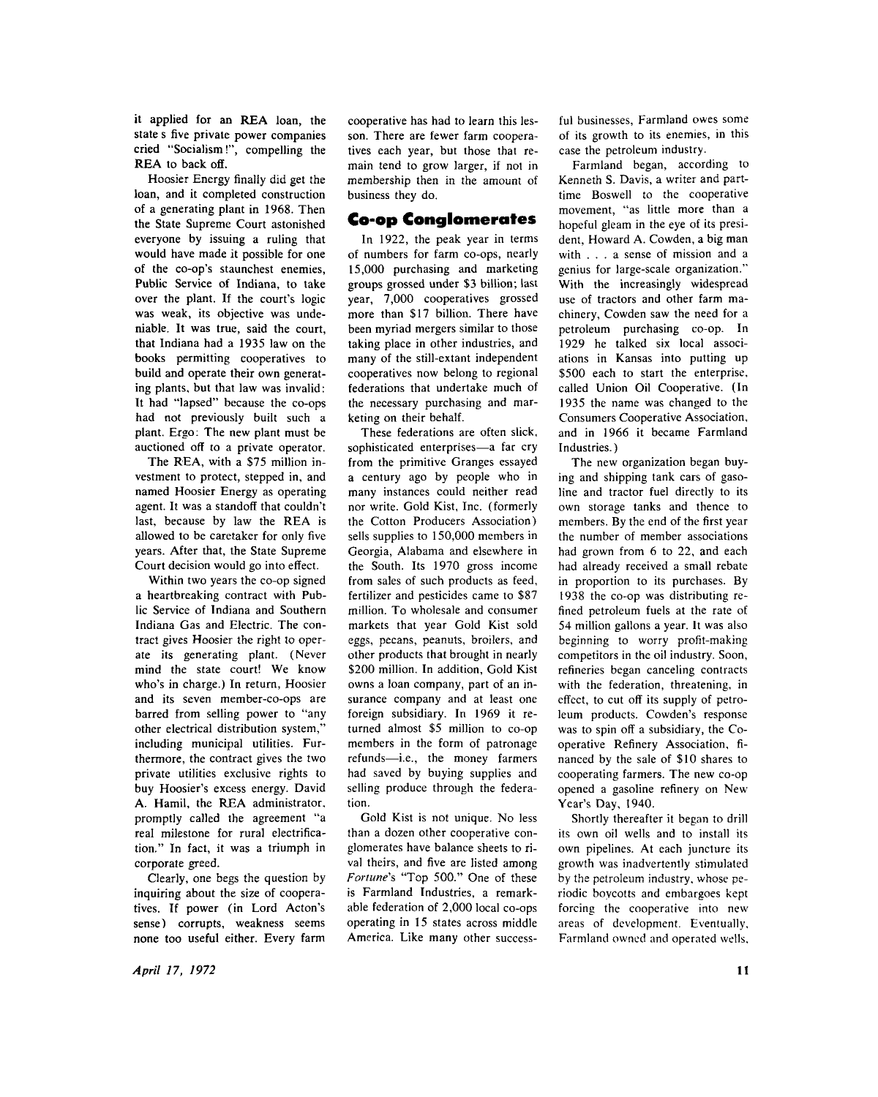it applied for an REA loan, the state s five private power companies cried "Socialism!", compelling the REA to back off.

Hoosier Energy finally did get the loan, and it completed construction of a generating plant in 1968. Then the State Supreme Court astonished everyone by issuing a ruling that would have made it possible for one of the co-op's staunchest enemies, Public Service of Indiana, to take over the plant. If the court's logic was weak, its objective was undeniable. It was true, said the court, that Indiana had a 1935 law on the books permitting cooperatives to build and operate their own generating plants, but that law was invalid: It had "lapsed" because the co-ops had not previously built such a plant. Ergo: The new plant must be auctioned off to a private operator.

The REA, with a \$75 million investment to protect, stepped in, and named Hoosier Energy as operating agent. It was a standoff that couldn't last, because by law the REA is allowed to be caretaker for only five years. After that, the State Supreme Court decision would go into effect.

Within two years the co-op signed a heartbreaking contract with Public Service of Indiana and Southern Indiana Gas and Electric. The contract gives Hoosier the right to operate its generating plant. (Never mind the state court! We know who's in charge.) In return, Hoosier and its seven member-co-ops are barred from selling power to "any other electrical distribution system," including municipal utilities. Furthermore, the contract gives the two private utilities exclusive rights to buy Hoosier's excess energy. David A. Hamil, the REA administrator, promptly called the agreement "a real milestone for rural electrification." In fact, it was a triumph in corporate greed.

Clearly, one begs the question by inquiring about the size of cooperatives. If power (in Lord Acton's sense) corrupts, weakness seems none too useful either. Every farm

cooperative has had to learn this lesson. There are fewer farm cooperatives each year, but those that remain tend to grow larger, if not in membership then in the amount of business they do.

## Co-op Conglomerates

In 1922, the peak year in terms of numbers for farm co-ops, nearly 15,000 purchasing and marketing groups grossed under \$3 billion; last year, 7,000 cooperatives grossed more than \$17 billion. There have been myriad mergers similar to those taking place in other industries, and many of the still-extant independent cooperatives now belong to regional federations that undertake much of the necessary purchasing and marketing on their behalf.

These federations are often slick, sophisticated enterprises—a far cry from the primitive Granges essayed a century ago by people who in many instances could neither read nor write. Gold Kist, Inc. (formerly the Cotton Producers Association) sells supplies to 150,000 members in Georgia, Alabama and elsewhere in the South. Its 1970 gross income from sales of such products as feed, fertilizer and pesticides came to \$87 million. To wholesale and consumer markets that year Gold Kist sold eggs, pecans, peanuts, broilers, and other products that brought in nearly \$200 million. In addition, Gold Kist owns a loan company, part of an insurance company and at least one foreign subsidiary. In 1969 it returned almost \$5 million to co-op members in the form of patronage refunds—i.e., the money farmers had saved by buying supplies and selling produce through the federation.

Gold Kist is not unique. No less than a dozen other cooperative conglomerates have balance sheets to rival theirs, and five are listed among *Fortune's.* "Top 500." One of these is Farmland Industries, a remarkable federation of 2,000 local co-ops operating in 15 states across middle America. Like many other successful businesses, Farmland owes some of its growth to its enemies, in this case the petroleum industry.

Farmland began, according to Kenneth S. Davis, a writer and parttime Boswell to the cooperative movement, "as little more than a hopeful gleam in the eye of its president, Howard A. Cowden, a big man with .. . a sense of mission and a genius for large-scale organization." With the increasingly widespread use of tractors and other farm machinery, Cowden saw the need for a petroleum purchasing co-op. In 1929 he talked six local associations in Kansas into putting up \$500 each to start the enterprise, called Union Oil Cooperative. (In 1935 the name was changed to the Consumers Cooperative Association, and in 1966 it became Farmland Industries.)

The new organization began buying and shipping tank cars of gasoline and tractor fuel directly to its own storage tanks and thence to members. By the end of the first year the number of member associations had grown from 6 to 22, and each had already received a small rebate in proportion to its purchases. By 1938 the co-op was distributing refined petroleum fuels at the rate of 54 million gallons a year. It was also beginning to worry profit-making competitors in the oil industry. Soon, refineries began canceling contracts with the federation, threatening, in effect, to cut off its supply of petroleum products. Cowden's response was to spin off a subsidiary, the Cooperative Refinery Association, financed by the sale of \$10 shares to cooperating farmers. The new co-op opened a gasoline refinery on New Year's Day, 1940.

Shortly thereafter it began to drill its own oil wells and to install its own pipelines. At each juncture its growth was inadvertently stimulated by the petroleum industry, whose periodic boycotts and embargoes kept forcing the cooperative into new areas of development. Eventually, Farmland owned and operated wells.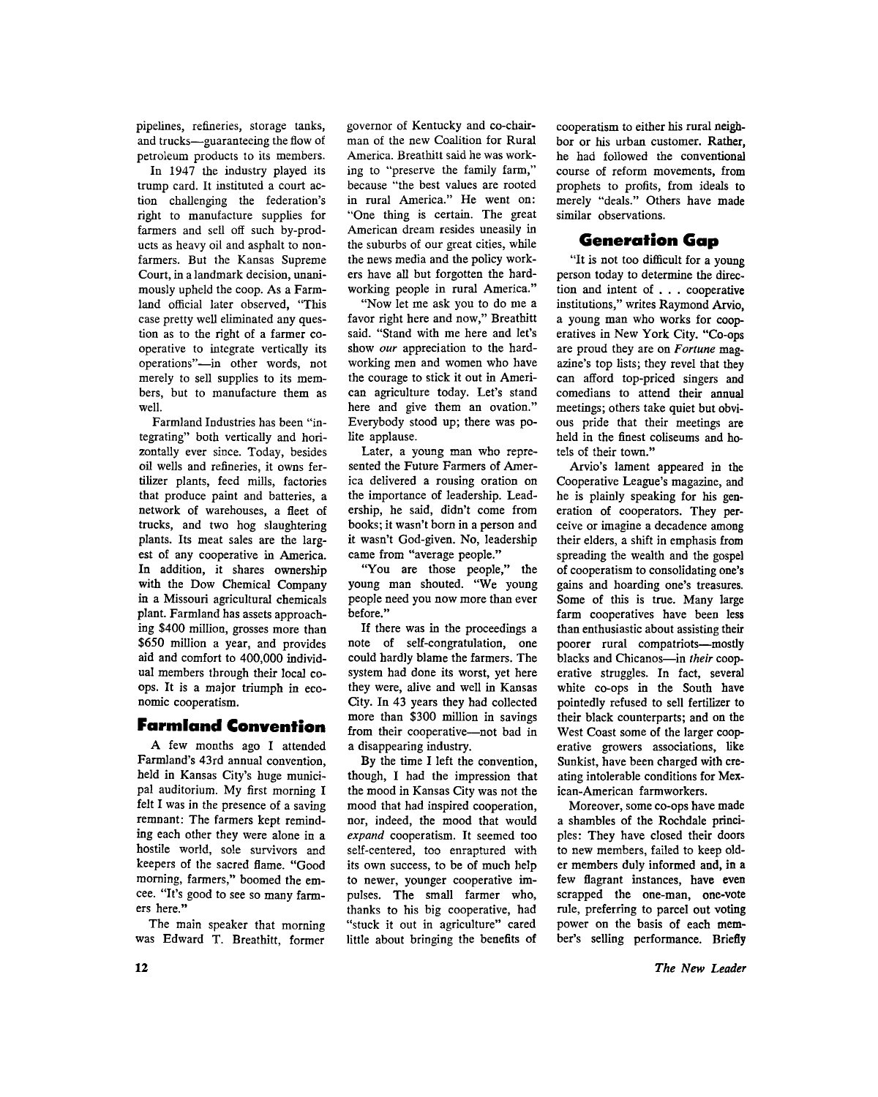pipelines, refineries, storage tanks, and trucks—guaranteeing the flow of petroleum products to its members.

In 1947 the industry played its trump card. It instituted a court action challenging the federation's right to manufacture supplies for farmers and sell off such by-products as heavy oil and asphalt to nonfarmers. But the Kansas Supreme Court, in a landmark decision, unanimously upheld the coop. As a Farmland official later observed, "This case pretty well eliminated any question as to the right of a fanner cooperative to integrate vertically its operations"—in other words, not merely to sell supplies to its members, but to manufacture them as well.

Farmland Industries has been "integrating" both vertically and horizontally ever since. Today, besides oil wells and refineries, it owns fertilizer plants, feed mills, factories that produce paint and batteries, a network of warehouses, a fleet of trucks, and two hog slaughtering plants. Its meat sales are the largest of any cooperative in America. In addition, it shares ownership with the Dow Chemical Company in a Missouri agricultural chemicals plant. Farmland has assets approaching \$400 million, grosses more than \$650 million a year, and provides aid and comfort to 400,000 individual members through their local coops. It is a major triumph in economic cooperatism.

## Farmland Convention

A few months ago I attended Farmland's 43rd annual convention, held in Kansas City's huge municipal auditorium. My first morning I felt I was in the presence of a saving remnant: The farmers kept reminding each other they were alone in a hostile world, sole survivors and keepers of the sacred flame. "Good morning, farmers," boomed the emcee. "It's good to see so many farmers here."

The main speaker that morning was Edward T. Breathitt, former governor of Kentucky and co-chairman of the new Coalition for Rural America. Breathitt said he was working to "preserve the family farm," because "the best values are rooted in rural America." He went on: "One thing is certain. The great American dream resides uneasily in the suburbs of our great cities, while the news media and the policy workers have all but forgotten the hardworking people in rural America."

"Now let me ask you to do me a favor right here and now," Breathitt said. "Stand with me here and let's show *our* appreciation to the hardworking men and women who have the courage to stick it out in American agriculture today. Let's stand here and give them an ovation." Everybody stood up; there was polite applause.

Later, a young man who represented the Future Farmers of America delivered a rousing oration on the importance of leadership. Leadership, he said, didn't come from books; it wasn't born in a person and it wasn't God-given. No, leadership came from "average people."

"You are those people," the young man shouted. "We young people need you now more than ever before."

If there was in the proceedings a note of self-congratulation, one could hardly blame the farmers. The system had done its worst, yet here they were, alive and well in Kansas City. In 43 years they had collected more than \$300 million in savings from their cooperative—not bad in a disappearing industry.

By the time I left the convention, though, I had the impression that the mood in Kansas City was not the mood that had inspired cooperation, nor, indeed, the mood that would *expand* cooperatism. It seemed too self-centered, too enraptured with its own success, to be of much help to newer, younger cooperative impulses. The small farmer who, thanks to his big cooperative, had "stuck it out in agriculture" cared little about bringing the benefits of

cooperatism to either his rural neighbor or his urban customer. Rather, he had followed the conventional course of reform movements, from prophets to profits, from ideals to merely "deals." Others have made similar observations.

# **Generation Gap**

"It is not too difficult for a young person today to detennine the direction and intent of . . . cooperative institutions," writes Raymond Arvio, a young man who works for cooperatives in New York City. "Co-ops are proud they are on *Fortune* magazine's top lists; they revel that they can afford top-priced singers and comedians to attend their annual meetings; others take quiet but obvious pride that their meetings are held in the finest coliseums and hotels of their town."

Arvio's lament appeared in the Cooperative League's magazine, and he is plainly speaking for his generation of cooperators. They perceive or imagine a decadence among their elders, a shift in emphasis from spreading the wealth and the gospel of cooperatism to consolidating one's gains and hoarding one's treasures. Some of this is true. Many large farm cooperatives have been less than enthusiastic about assisting their poorer rural compatriots—mostly blacks and Chicanos—in *their* cooperative struggles. In fact, several white co-ops in the South have pointedly refused to sell fertilizer to their black counterparts; and on the West Coast some of the larger cooperative growers associations, like Sunkist, have been charged with creating intolerable conditions for Mexican-American farmworkers.

Moreover, some co-ops have made a shambles of the Rochdale principles: They have closed their doors to new members, failed to keep older members duly informed and, in a few flagrant instances, have even scrapped the one-man, one-vote rule, preferring to parcel out voting power on the basis of each member's selling performance. Briefly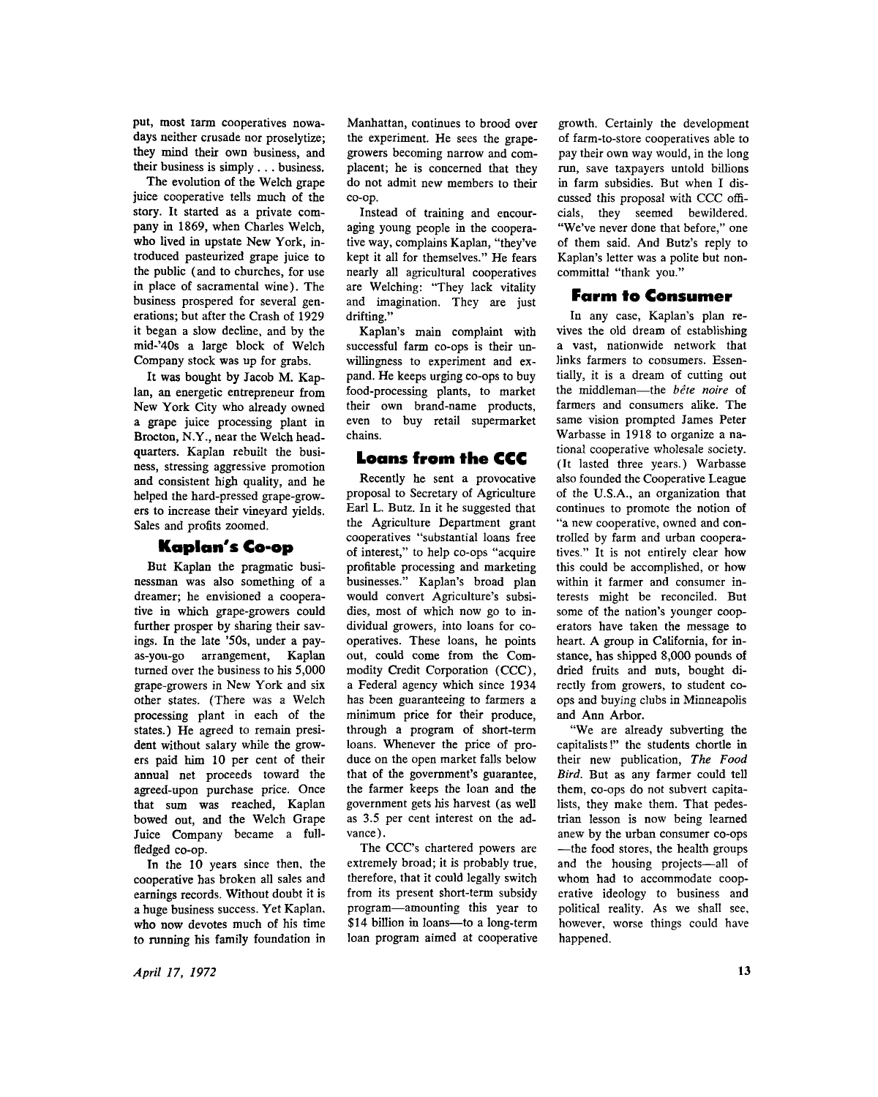put, most iarm cooperatives nowadays neither crusade nor proselytize; they mind their own business, and their business is simply . . . business.

The evolution of the Welch grape juice cooperative tells much of the story. It started as a private company in 1869, when Charles Welch, who lived in upstate New York, introduced pasteurized grape juice to the public (and to churches, for use in place of sacramental wine). The business prospered for several generations; but after the Crash of 1929 it began a slow decline, and by the mid-'40s a large block of Welch Company stock was up for grabs.

It was bought by Jacob M. Kaplan, an energetic entrepreneur from New York City who already owned a grape juice processing plant in Brocton, N.Y., near the Welch headquarters. Kaplan rebuilt the business, stressing aggressive promotion and consistent high quality, and he helped the hard-pressed grape-growers to increase their vineyard yields. Sales and profits zoomed.

#### Kaplan's Co-op

But Kaplan the pragmatic businessman was also something of a dreamer; he envisioned a cooperative in which grape-growers could further prosper by sharing their savings. In the late '50s, under a payas-you-go arrangement, Kaplan turned over the business to his 5,000 grape-growers in New York and six other states. (There was a Welch processing plant in each of the states.) He agreed to remain president without salary while the growers paid him 10 per cent of their annual net proceeds toward the agreed-upon purchase price. Once that sum was reached, Kaplan bowed out, and the Welch Grape Juice Company became a fullfledged co-op.

In the 10 years since then, the cooperative has broken all sales and earnings records. Without doubt it is a huge business success. Yet Kaplan, who now devotes much of his time to running his family foundation in Manhattan, continues to brood over the experiment. He sees the grapegrowers becoming narrow and complacent; he is concerned that they do not admit new members to their co-op.

Instead of training and encouraging young people in the cooperative way, complains Kaplan, "they've kept it all for themselves." He fears nearly all agricultural cooperatives are Welching: "They lack vitality and imagination. They are just drifting."

Kaplan's main complaint with successful farm co-ops is their unwillingness to experiment and expand. He keeps urging co-ops to buy food-processing plants, to market their own brand-name products, even to buy retail supermarket chains.

# Loans from the CCC

Recently he sent a provocative proposal to Secretary of Agriculture Earl L. Butz. In it he suggested that the Agriculture Department grant cooperatives "substantial loans free of interest," to help co-ops "acquire profitable processing and marketing businesses." Kaplan's broad plan would convert Agriculture's subsidies, most of which now go to individual growers, into loans for cooperatives. These loans, he points out, could come from the Commodity Credit Corporation (CCC) , a Federal agency which since 1934 has been guaranteeing to farmers a minimum price for their produce, through a program of short-term loans. Whenever the price of produce on the open market falls below that of the government's guarantee, the farmer keeps the loan and the government gets his harvest (as well as 3.5 per cent interest on the advance).

The CCC's chartered powers are extremely broad; it is probably true, therefore, that it could legally switch from its present short-term subsidy program—amounting this year to \$14 billion in loans—to a long-term loan program aimed at cooperative

growth. Certainly the development of farm-to-store cooperatives able to pay their own way would, in the long run, save taxpayers untold billions in farm subsidies. But when I discussed this proposal with CCC officials, they seemed bewildered. "We've never done that before," one of them said. And Butz's reply to Kaplan's letter was a polite but noncommittal "thank you."

#### **Farm to Consumer**

In any case, Kaplan's plan revives the old dream of establishing a vast, nationwide network that links farmers to consumers. Essentially, it is a dream of cutting out the middleman—the *bete noire* of farmers and consumers alike. The same vision prompted James Peter Warbasse in 1918 to organize a national cooperative wholesale society. (It lasted three years.) Warbasse also founded the Cooperative League of the U.S.A. , an organization that continues to promote the notion of "a new cooperative, owned and controlled by farm and urban cooperatives." It is not entirely clear how this could be accomplished, or how within it farmer and consumer interests might be reconciled. But some of the nation's younger cooperators have taken the message to heart. A group in California, for instance, has shipped 8,000 pounds of dried fruits and nuts, bought directly from growers, to student coops and buying clubs in Minneapolis and Ann Arbor.

"We are already subverting the capitalists!" the students chortle in their new publication, *The Food Bird.* But as any farmer could tell them, co-ops do not subvert capitalists, they make them. That pedestrian lesson is now being learned anew by the urban consumer co-ops —the food stores, the health groups and the housing projects—all of whom had to accommodate cooperative ideology to business and political reality. As we shall see, however, worse things could have happened.